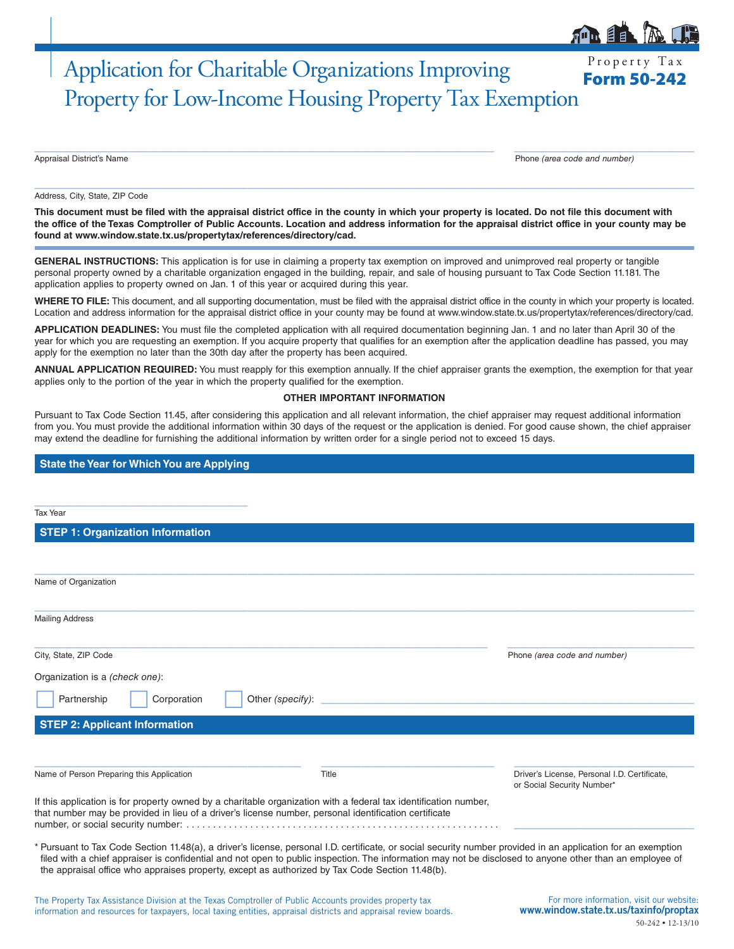# Application for Charitable Organizations Improving Form 50-242 Property for Low-Income Housing Property Tax Exemption

Appraisal District's Name Phone *(area code and number)*

Property Tax

Address, City, State, ZIP Code

**This document must be filed with the appraisal district office in the county in which your property is located. Do not file this document with the office of the Texas Comptroller of Public Accounts. Location and address information for the appraisal district office in your county may be found at www.window.state.tx.us/propertytax/references/directory/cad.**

 $\_$  , and the set of the set of the set of the set of the set of the set of the set of the set of the set of the set of the set of the set of the set of the set of the set of the set of the set of the set of the set of th

 $\_$  , and the set of the set of the set of the set of the set of the set of the set of the set of the set of the set of the set of the set of the set of the set of the set of the set of the set of the set of the set of th

**GENERAL INSTRUCTIONS:** This application is for use in claiming a property tax exemption on improved and unimproved real property or tangible personal property owned by a charitable organization engaged in the building, repair, and sale of housing pursuant to Tax Code Section 11.181. The application applies to property owned on Jan. 1 of this year or acquired during this year.

WHERE TO FILE: This document, and all supporting documentation, must be filed with the appraisal district office in the county in which your property is located. Location and address information for the appraisal district office in your county may be found at www.window.state.tx.us/propertytax/references/directory/cad.

**APPLICATION DEADLINES:** You must file the completed application with all required documentation beginning Jan. 1 and no later than April 30 of the year for which you are requesting an exemption. If you acquire property that qualifies for an exemption after the application deadline has passed, you may apply for the exemption no later than the 30th day after the property has been acquired.

**ANNUAL APPLICATION REQUIRED:** You must reapply for this exemption annually. If the chief appraiser grants the exemption, the exemption for that year applies only to the portion of the year in which the property qualified for the exemption.

#### **OTHER IMPORTANT INFORMATION**

Pursuant to Tax Code Section 11.45, after considering this application and all relevant information, the chief appraiser may request additional information from you. You must provide the additional information within 30 days of the request or the application is denied. For good cause shown, the chief appraiser may extend the deadline for furnishing the additional information by written order for a single period not to exceed 15 days.

### **State the Year for Which You are Applying**

| <b>Tax Year</b>                                                                                                                                                                                                                                                  |                                                                                                                                                          |                                                                            |
|------------------------------------------------------------------------------------------------------------------------------------------------------------------------------------------------------------------------------------------------------------------|----------------------------------------------------------------------------------------------------------------------------------------------------------|----------------------------------------------------------------------------|
| <b>STEP 1: Organization Information</b>                                                                                                                                                                                                                          |                                                                                                                                                          |                                                                            |
|                                                                                                                                                                                                                                                                  |                                                                                                                                                          |                                                                            |
| Name of Organization                                                                                                                                                                                                                                             |                                                                                                                                                          |                                                                            |
| <b>Mailing Address</b>                                                                                                                                                                                                                                           |                                                                                                                                                          |                                                                            |
| City, State, ZIP Code                                                                                                                                                                                                                                            |                                                                                                                                                          | Phone (area code and number)                                               |
| Organization is a (check one):                                                                                                                                                                                                                                   |                                                                                                                                                          |                                                                            |
| Partnership<br>Corporation                                                                                                                                                                                                                                       | Other (specify):                                                                                                                                         |                                                                            |
| <b>STEP 2: Applicant Information</b>                                                                                                                                                                                                                             |                                                                                                                                                          |                                                                            |
| Name of Person Preparing this Application                                                                                                                                                                                                                        | Title                                                                                                                                                    | Driver's License, Personal I.D. Certificate,<br>or Social Security Number* |
| If this application is for property owned by a charitable organization with a federal tax identification number,<br>that number may be provided in lieu of a driver's license number, personal identification certificate                                        |                                                                                                                                                          |                                                                            |
| * Pursuant to Tax Code Section 11.48(a), a driver's license, personal I.D. certificate, or social security number provided in an application for an exemption<br>the appraisal office who appraises property, except as authorized by Tax Code Section 11.48(b). | filed with a chief appraiser is confidential and not open to public inspection. The information may not be disclosed to anyone other than an employee of |                                                                            |
| Despecto Taylor Assistance Dicision of the Taylor Comptualize of Dublic Associate percision personal toy                                                                                                                                                         |                                                                                                                                                          | Ear mars information wisit our wabsite                                     |

The Property Tax Assistance Division at the Texas Comptroller of Public Accounts provides property tax information and resources for taxpayers, local taxing entities, appraisal districts and appraisal review boards.

For more information, visit our website: www.window.state.tx.us/taxinfo/proptax 50-242 • 12-13/10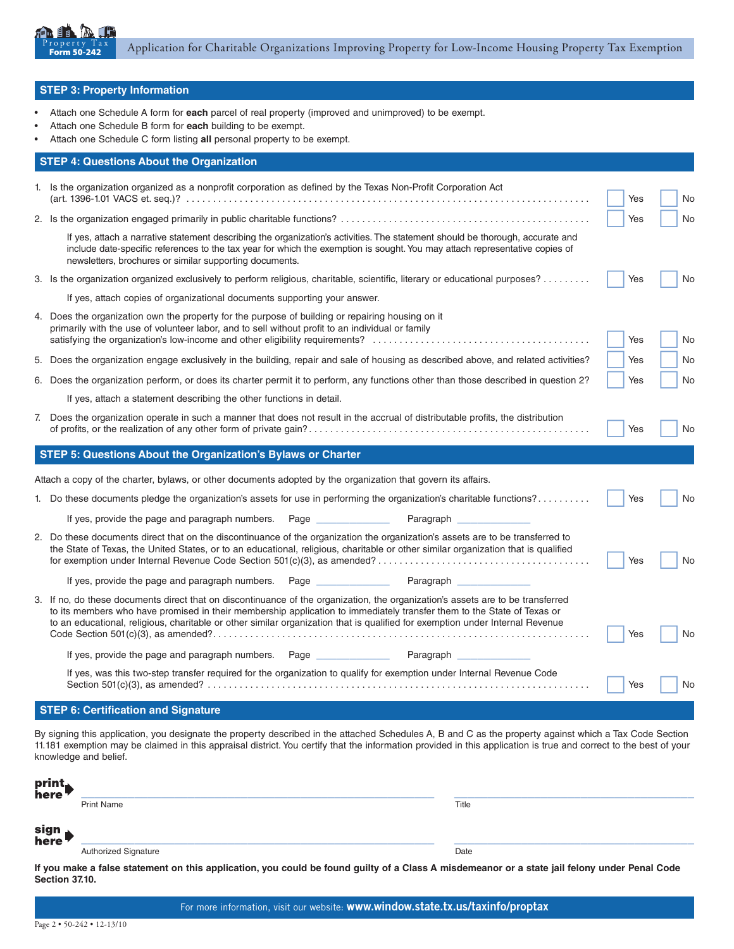

### **STEP 3: Property Information**

- Attach one Schedule A form for **each** parcel of real property (improved and unimproved) to be exempt.
- Attach one Schedule B form for **each** building to be exempt.
- Attach one Schedule C form listing **all** personal property to be exempt.

### **STEP 4: Questions About the Organization**

|    | 1. Is the organization organized as a nonprofit corporation as defined by the Texas Non-Profit Corporation Act                                                                                                                                                                                                                                                                             | Yes | No |
|----|--------------------------------------------------------------------------------------------------------------------------------------------------------------------------------------------------------------------------------------------------------------------------------------------------------------------------------------------------------------------------------------------|-----|----|
|    |                                                                                                                                                                                                                                                                                                                                                                                            | Yes | No |
|    | If yes, attach a narrative statement describing the organization's activities. The statement should be thorough, accurate and<br>include date-specific references to the tax year for which the exemption is sought. You may attach representative copies of<br>newsletters, brochures or similar supporting documents.                                                                    |     |    |
|    | 3. Is the organization organized exclusively to perform religious, charitable, scientific, literary or educational purposes?                                                                                                                                                                                                                                                               | Yes | No |
|    | If yes, attach copies of organizational documents supporting your answer.                                                                                                                                                                                                                                                                                                                  |     |    |
|    | 4. Does the organization own the property for the purpose of building or repairing housing on it<br>primarily with the use of volunteer labor, and to sell without profit to an individual or family                                                                                                                                                                                       | Yes | No |
|    | 5. Does the organization engage exclusively in the building, repair and sale of housing as described above, and related activities?                                                                                                                                                                                                                                                        | Yes | No |
|    | 6. Does the organization perform, or does its charter permit it to perform, any functions other than those described in question 2?                                                                                                                                                                                                                                                        | Yes | No |
|    | If yes, attach a statement describing the other functions in detail.                                                                                                                                                                                                                                                                                                                       |     |    |
| 7. | Does the organization operate in such a manner that does not result in the accrual of distributable profits, the distribution                                                                                                                                                                                                                                                              | Yes | No |
|    | <b>STEP 5: Questions About the Organization's Bylaws or Charter</b>                                                                                                                                                                                                                                                                                                                        |     |    |
|    | Attach a copy of the charter, bylaws, or other documents adopted by the organization that govern its affairs.                                                                                                                                                                                                                                                                              |     |    |
|    |                                                                                                                                                                                                                                                                                                                                                                                            |     |    |
|    | 1. Do these documents pledge the organization's assets for use in performing the organization's charitable functions?                                                                                                                                                                                                                                                                      | Yes | No |
|    | If yes, provide the page and paragraph numbers.<br>Page and the state of the state of the state of the state of the state of the state of the state of the state of the state of the state of the state of the state of the state of the state of the state of the state of the st<br>Paragraph                                                                                            |     |    |
|    | 2. Do these documents direct that on the discontinuance of the organization the organization's assets are to be transferred to<br>the State of Texas, the United States, or to an educational, religious, charitable or other similar organization that is qualified                                                                                                                       | Yes | No |
|    | Paragraph<br>If yes, provide the page and paragraph numbers.<br>Page _______________                                                                                                                                                                                                                                                                                                       |     |    |
|    | 3. If no, do these documents direct that on discontinuance of the organization, the organization's assets are to be transferred<br>to its members who have promised in their membership application to immediately transfer them to the State of Texas or<br>to an educational, religious, charitable or other similar organization that is qualified for exemption under Internal Revenue | Yes | No |
|    | Paragraph<br>If yes, provide the page and paragraph numbers.<br>Page _______________                                                                                                                                                                                                                                                                                                       |     |    |
|    | If yes, was this two-step transfer required for the organization to qualify for exemption under Internal Revenue Code                                                                                                                                                                                                                                                                      | Yes | No |

By signing this application, you designate the property described in the attached Schedules A, B and C as the property against which a Tax Code Section 11.181 exemption may be claimed in this appraisal district. You certify that the information provided in this application is true and correct to the best of your knowledge and belief.

| print<br>here  |                                                                                                                                               |       |
|----------------|-----------------------------------------------------------------------------------------------------------------------------------------------|-------|
|                | <b>Print Name</b>                                                                                                                             | Title |
| sign<br>here   |                                                                                                                                               |       |
|                | <b>Authorized Signature</b>                                                                                                                   | Date  |
| Section 37.10. | If you make a false statement on this application, you could be found guilty of a Class A misdemeanor or a state jail felony under Penal Code |       |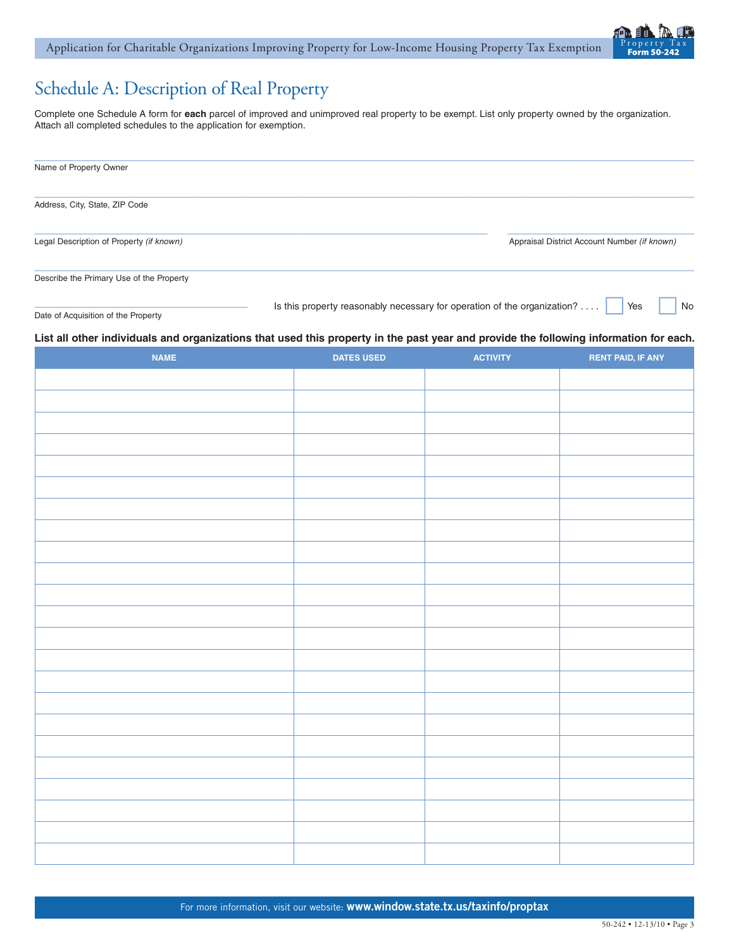

### Schedule A: Description of Real Property

Complete one Schedule A form for **each** parcel of improved and unimproved real property to be exempt. List only property owned by the organization. Attach all completed schedules to the application for exemption.

| Name of Property Owner                   |                                              |
|------------------------------------------|----------------------------------------------|
| Address, City, State, ZIP Code           |                                              |
| Legal Description of Property (if known) | Appraisal District Account Number (if known) |
| Describe the Primary Use of the Property |                                              |

 $\_$  ,  $\_$  ,  $\_$  ,  $\_$  ,  $\_$  ,  $\_$  ,  $\_$  ,  $\_$  ,  $\_$  ,  $\_$  ,  $\_$  ,  $\_$  ,  $\_$ 

Is this property reasonably necessary for operation of the organization?  $\ldots$  Yes No

Date of Acquisition of the Property

#### **List all other individuals and organizations that used this property in the past year and provide the following information for each.**

| <b>NAME</b> | <b>DATES USED</b> | <b>ACTIVITY</b> | <b>RENT PAID, IF ANY</b> |
|-------------|-------------------|-----------------|--------------------------|
|             |                   |                 |                          |
|             |                   |                 |                          |
|             |                   |                 |                          |
|             |                   |                 |                          |
|             |                   |                 |                          |
|             |                   |                 |                          |
|             |                   |                 |                          |
|             |                   |                 |                          |
|             |                   |                 |                          |
|             |                   |                 |                          |
|             |                   |                 |                          |
|             |                   |                 |                          |
|             |                   |                 |                          |
|             |                   |                 |                          |
|             |                   |                 |                          |
|             |                   |                 |                          |
|             |                   |                 |                          |
|             |                   |                 |                          |
|             |                   |                 |                          |
|             |                   |                 |                          |
|             |                   |                 |                          |
|             |                   |                 |                          |
|             |                   |                 |                          |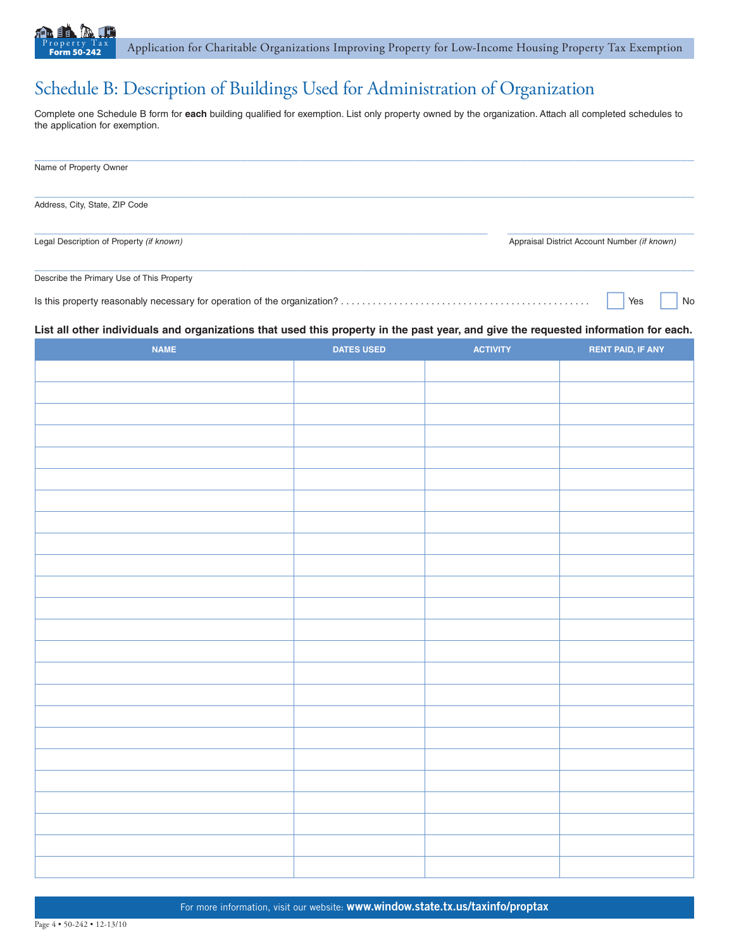

## Schedule B: Description of Buildings Used for Administration of Organization

Complete one Schedule B form for **each** building qualified for exemption. List only property owned by the organization. Attach all completed schedules to the application for exemption.

| Name of Property Owner                    |                                              |
|-------------------------------------------|----------------------------------------------|
| Address, City, State, ZIP Code            |                                              |
| Legal Description of Property (if known)  | Appraisal District Account Number (if known) |
| Describe the Primary Use of This Property |                                              |

Is this property reasonably necessary for operation of the organization? . . . . . . . . . . . . . . . . . . . . . . . . . . . . . . . . . . . . . . . . . . . . . . . Yes No

### **List all other individuals and organizations that used this property in the past year, and give the requested information for each.**

| <b>NAME</b> | <b>DATES USED</b> | <b>ACTIVITY</b> | <b>RENT PAID, IF ANY</b> |
|-------------|-------------------|-----------------|--------------------------|
|             |                   |                 |                          |
|             |                   |                 |                          |
|             |                   |                 |                          |
|             |                   |                 |                          |
|             |                   |                 |                          |
|             |                   |                 |                          |
|             |                   |                 |                          |
|             |                   |                 |                          |
|             |                   |                 |                          |
|             |                   |                 |                          |
|             |                   |                 |                          |
|             |                   |                 |                          |
|             |                   |                 |                          |
|             |                   |                 |                          |
|             |                   |                 |                          |
|             |                   |                 |                          |
|             |                   |                 |                          |
|             |                   |                 |                          |
|             |                   |                 |                          |
|             |                   |                 |                          |
|             |                   |                 |                          |
|             |                   |                 |                          |
|             |                   |                 |                          |
|             |                   |                 |                          |